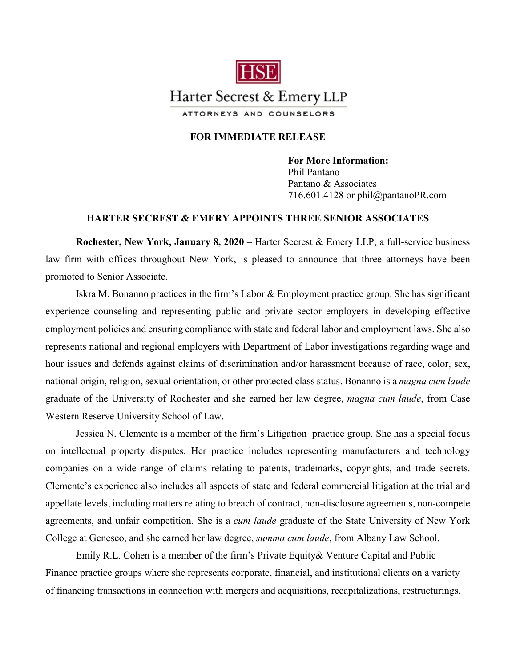

## **FOR IMMEDIATE RELEASE**

**For More Information:**  Phil Pantano Pantano & Associates 716.601.4128 or phil@pantanoPR.com

## **HARTER SECREST & EMERY APPOINTS THREE SENIOR ASSOCIATES**

**Rochester, New York, January 8, 2020** – Harter Secrest & Emery LLP, a full-service business law firm with offices throughout New York, is pleased to announce that three attorneys have been promoted to Senior Associate.

Iskra M. Bonanno practices in the firm's Labor & Employment practice group. She has significant experience counseling and representing public and private sector employers in developing effective employment policies and ensuring compliance with state and federal labor and employment laws. She also represents national and regional employers with Department of Labor investigations regarding wage and hour issues and defends against claims of discrimination and/or harassment because of race, color, sex, national origin, religion, sexual orientation, or other protected class status. Bonanno is a *magna cum laude* graduate of the University of Rochester and she earned her law degree, *magna cum laude*, from Case Western Reserve University School of Law.

Jessica N. Clemente is a member of the firm's Litigation practice group. She has a special focus on intellectual property disputes. Her practice includes representing manufacturers and technology companies on a wide range of claims relating to patents, trademarks, copyrights, and trade secrets. Clemente's experience also includes all aspects of state and federal commercial litigation at the trial and appellate levels, including matters relating to breach of contract, non-disclosure agreements, non-compete agreements, and unfair competition. She is a *cum laude* graduate of the State University of New York College at Geneseo, and she earned her law degree, *summa cum laude*, from Albany Law School.

Emily R.L. Cohen is a member of the firm's Private Equity& Venture Capital and Public Finance practice groups where she represents corporate, financial, and institutional clients on a variety of financing transactions in connection with mergers and acquisitions, recapitalizations, restructurings,